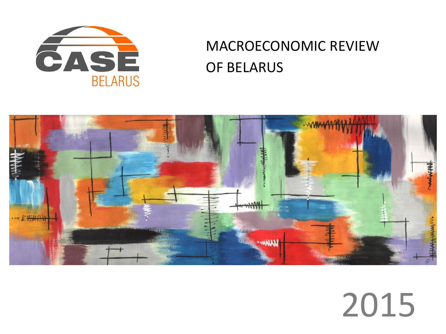

# MACROECONOMIC REVIEW OF BELARUS



# 2015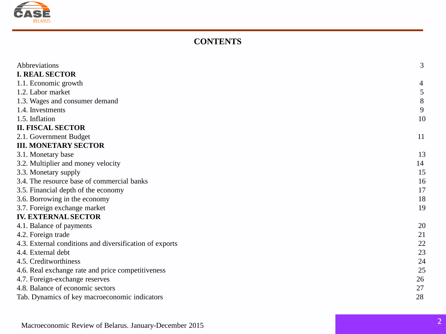

### **CONTENTS**

| Abbreviations                                           | 3  |
|---------------------------------------------------------|----|
| <b>I. REAL SECTOR</b>                                   |    |
| 1.1. Economic growth                                    | 4  |
| 1.2. Labor market                                       | 5  |
| 1.3. Wages and consumer demand                          | 8  |
| 1.4. Investments                                        | 9  |
| 1.5. Inflation                                          | 10 |
| <b>II. FISCAL SECTOR</b>                                |    |
| 2.1. Government Budget                                  | 11 |
| <b>III. MONETARY SECTOR</b>                             |    |
| 3.1. Monetary base                                      | 13 |
| 3.2. Multiplier and money velocity                      | 14 |
| 3.3. Monetary supply                                    | 15 |
| 3.4. The resource base of commercial banks              | 16 |
| 3.5. Financial depth of the economy                     | 17 |
| 3.6. Borrowing in the economy                           | 18 |
| 3.7. Foreign exchange market                            | 19 |
| <b>IV. EXTERNAL SECTOR</b>                              |    |
| 4.1. Balance of payments                                | 20 |
| 4.2. Foreign trade                                      | 21 |
| 4.3. External conditions and diversification of exports | 22 |
| 4.4. External debt                                      | 23 |
| 4.5. Creditworthiness                                   | 24 |
| 4.6. Real exchange rate and price competitiveness       | 25 |
| 4.7. Foreign-exchange reserves                          | 26 |
| 4.8. Balance of economic sectors                        | 27 |
| Tab. Dynamics of key macroeconomic indicators           | 28 |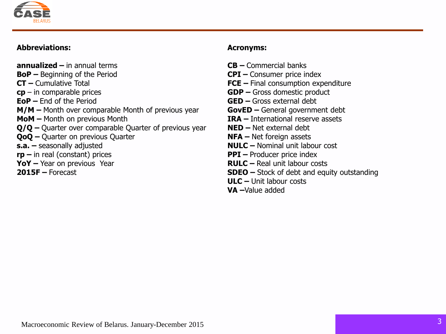

### **Abbreviations:**

**annualized –** in annual terms **BoP –** Beginning of the Period **CT –** Cumulative Total **cp** – in comparable prices **EoP –** End of the Period **M/M –** Month over comparable Month of previous year **MoM –** Month on previous Month **Q/Q –** Quarter over comparable Quarter of previous year **QoQ –** Quarter on previous Quarter **s.a. –** seasonally adjusted **rp –** in real (constant) prices **YoY –** Year on previous Year **2015F –** Forecast

### **Acronyms:**

- **CB –** Commercial banks
- **CPI –** Consumer price index
- **FCE –** Final consumption expenditure
- **GDP –** Gross domestic product
- **GED –** Gross external debt
- **GovED –** General government debt
- **IRA –** International reserve assets
- **NED –** Net external debt
- **NFA –** Net foreign assets
- **NULC –** Nominal unit labour cost
- **PPI** Producer price index
- **RULC –** Real unit labour costs
- **SDEO –** Stock of debt and equity outstanding
- **ULC –** Unit labour costs
- **VA –**Value added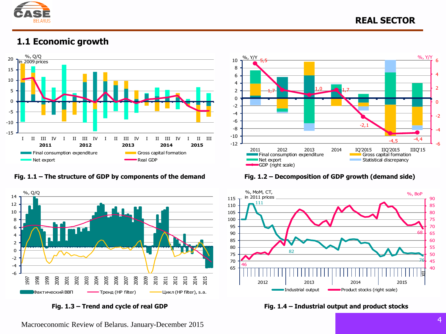

### **1.1 Economic growth**



**Fig. 1.1 – The structure of GDP by components of the demand Fig. 1.2 – Decomposition of GDP growth (demand side)**







**Fig. 1.3 – Trend and cycle of real GDP Fig. 1.4 – Industrial output and product stocks**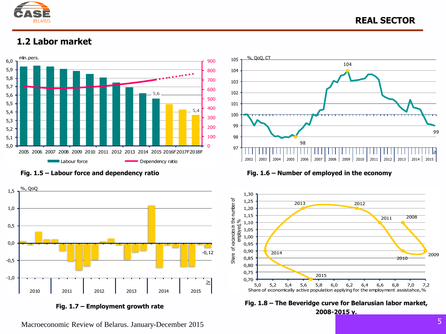

### **1.2 Labor market**







**Fig. 1.5 – Labour force and dependency ratio Fig. 1.6 – Number of employed in the economy**





Macroeconomic Review of Belarus. January-December 2015

99

≥l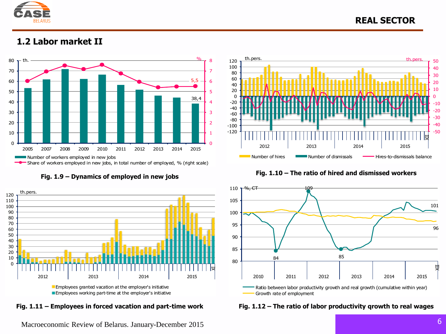

### **REAL SECTOR**

### **1.2 Labor market II**







**Fig. 1.9 – Dynamics of employed in new jobs Fig. 1.10 – The ratio of hired and dismissed workers**



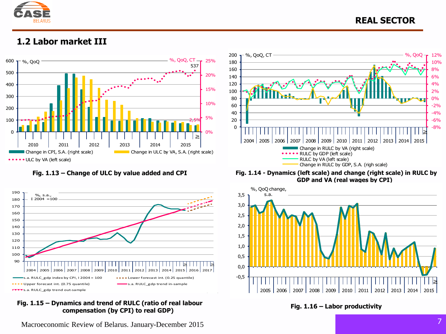

### **1.2 Labor market III**





### **Fig. 1.15 – Dynamics and trend of RULC (ratio of real labour compensation (by CPI) to real GDP) Fig. 1.16 – Labor productivity**

Macroeconomic Review of Belarus. January-December 2015



**Fig. 1.13 – Change of ULC by value added and CPI Fig. 1.14 - Dynamics (left scale) and change (right scale) in RULC by GDP and VA (real wages by CPI)**

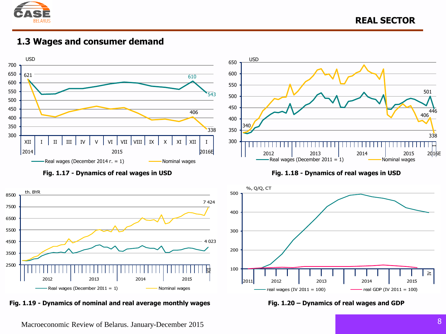

**1.3 Wages and consumer demand**





**Fig. 1.19 - Dynamics of nominal and real average monthly wages Fig. 1.20 – Dynamics of real wages and GDP**



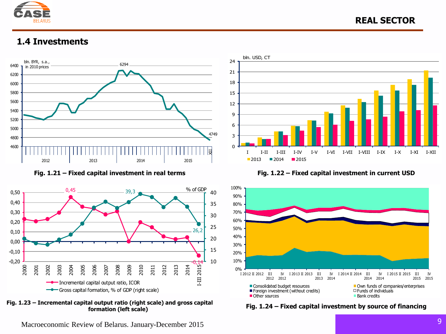

### **1.4 Investments**









**Fig. 1.21 – Fixed capital investment in real terms Fig. 1.22 – Fixed capital investment in current USD**



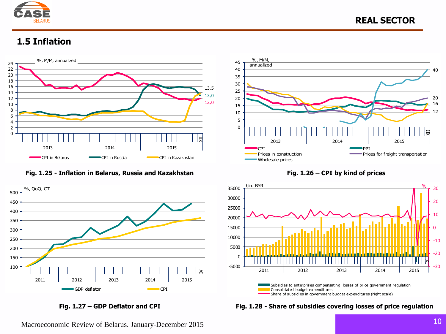

### **1.5 Inflation**



**Fig. 1.25 - Inflation in Belarus, Russia and Kazakhstan Fig. 1.26 – CPI by kind of prices**











Macroeconomic Review of Belarus. January-December 2015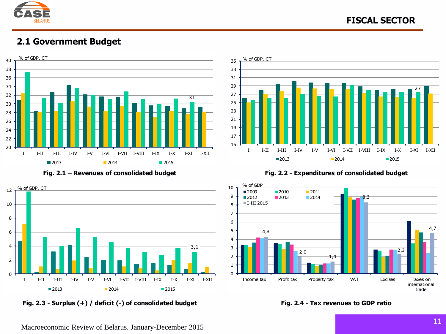

### **2.1 Government Budget**





**Fig. 2.3 - Surplus (+) / deficit (-) of consolidated budget Fig. 2.4 - Tax revenues to GDP ratio**





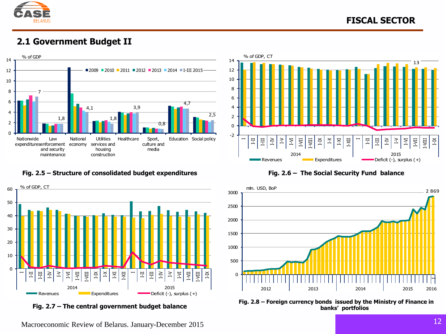

### **2.1 Government Budget II**



### **Fig. 2.5 – Structure of consolidated budget expenditures Fig. 2.6 – The Social Security Fund balance**



**Fig. 2.7 – The central government budget balance**





**Fig. 2.8 – Foreign currency bonds issued by the Ministry of Finance in banks' portfolios**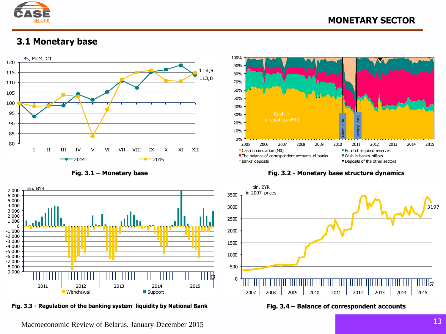

### **3.1 Monetary base**





**Fig. 3.3 - Regulation of the banking system liquidity by National Bank Fig. 3.4 – Balance of correspondent accounts**



**Fig. 3.1 – Monetary base Fig. 3.2 - Monetary base structure dynamics**

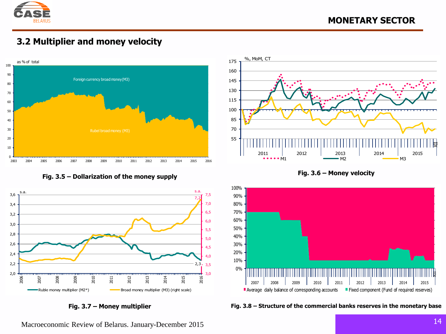

### **3.2 Multiplier and money velocity**



**Fig. 3.5 – Dollarization of the money supply Fig. 3.6 – Money velocity**









**Fig. 3.7 – Money multiplier Fig. 3.8 – Structure of the commercial banks reserves in the monetary base**

Macroeconomic Review of Belarus. January-December 2015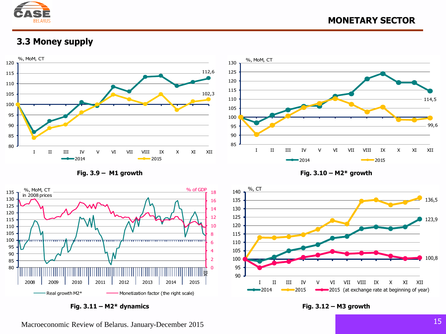

### **3.3 Money supply**



**Fig. 3.9 – M1 growth Fig. 3.10 – М2\* growth**



**Fig. 3.11 – М2\* dynamics Fig. 3.12 – М3 growth**

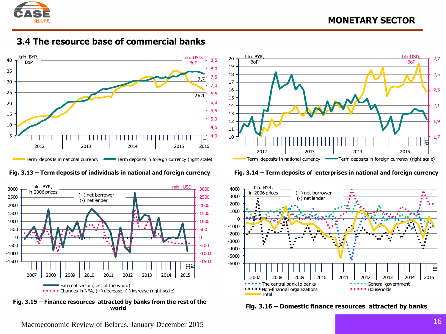





**Fig. 3.15 – Finance resources attracted by banks from the rest of the** 





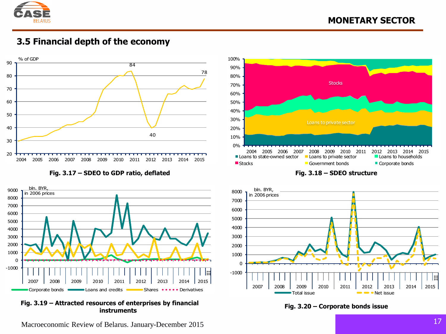

### **3.5 Financial depth of the economy**



**Fig. 3.17 – SDEO to GDP ratio, deflated Fig. 3.18 – SDEO structure**



**Fig. 3.19 – Attracted resources of enterprises by financial instruments Fig. 3.20 – Corporate bonds issue**





Macroeconomic Review of Belarus. January-December 2015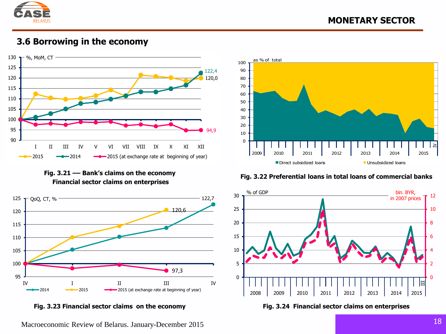

### **3.6 Borrowing in the economy**



**Fig. 3.21 –– Bank's claims on the economy Financial sector claims on enterprises**





Macroeconomic Review of Belarus. January-December 2015



### **Fig. 3.22 Preferential loans in total loans of commercial banks**



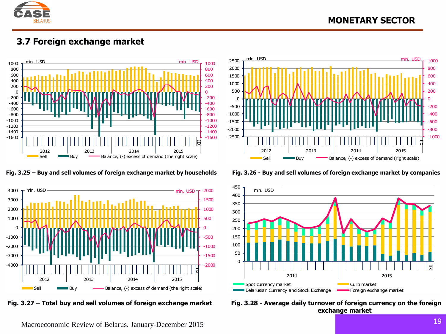

### **MONETARY SECTOR**

### **3.7 Foreign exchange market**









Fig. 3.27 – Total buy and sell volumes of foreign exchange market Fig. 3.28 - Average daily turnover of foreign currency on the foreign **exchange market**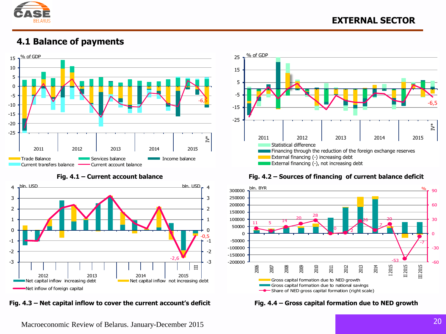

### **4.1 Balance of payments**





**Fig. 4.3 – Net capital inflow to cover the current account's deficit Fig. 4.4 – Gross capital formation due to NED growth**



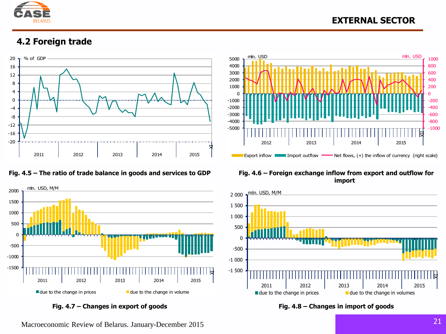

### **EXTERNAL SECTOR**

### **4.2 Foreign trade**







## **import**



**Fig. 4.7 – Changes in export of goods Fig. 4.8 – Changes in import of goods**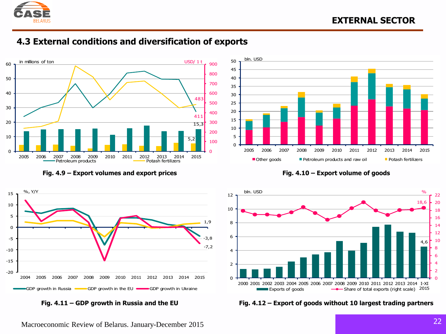

### **4.3 External conditions and diversification of exports**



**Fig. 4.9 – Export volumes and export prices Fig. 4.10 – Export volume of goods**







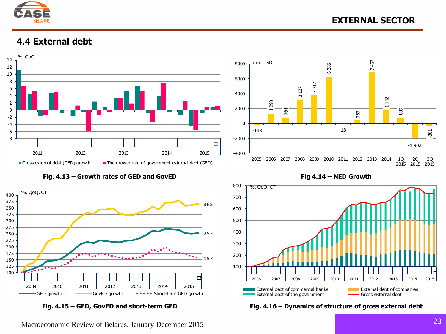

### **4.4 External debt**



**Fig. 4.13 – Growth rates of GED and GovED Fig 4.14 – NED Growth** 







**Fig. 4.15 – GED, GovED and short-term GED Fig. 4.16 – Dynamics of structure of gross external debt**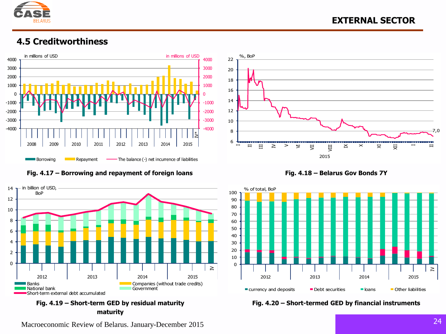

### **4.5 Creditworthiness**















Macroeconomic Review of Belarus. January-December 2015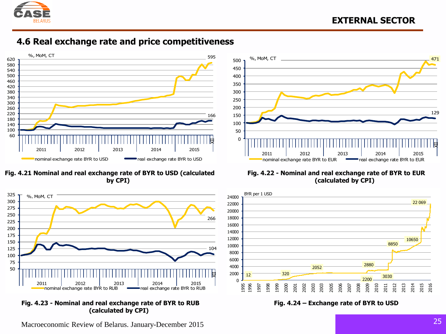

### **4.6 Real exchange rate and price competitiveness**



**Fig. 4.21 Nominal and real exchange rate of BYR to USD (calculated by CPI)**



**Fig. 4.23 - Nominal and real exchange rate of BYR to RUB (calculated by CPI)**



**Fig. 4.22 - Nominal and real exchange rate of BYR to EUR (calculated by CPI)**



**Fig. 4.24 – Exchange rate of BYR to USD**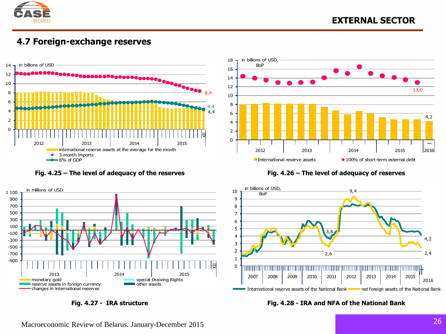

### **4.7 Foreign-exchange reserves**



### **Fig. 4.25 – The level of adequacy of the reserves Fig. 4.26 – The level of adequacy of reserves**







**Fig. 4.27 - IRA structure Fig. 4.28 - IRA and NFA of the National Bank**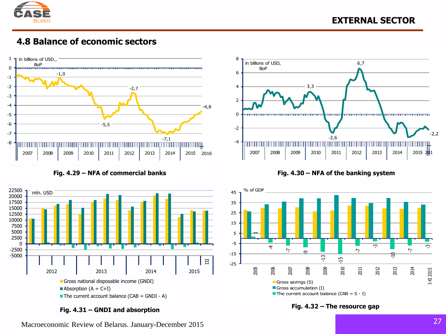

### **4.8 Balance of economic sectors**





**Fig. 4.31 – GNDI and absorption Fig. 4.32 – The resource gap**





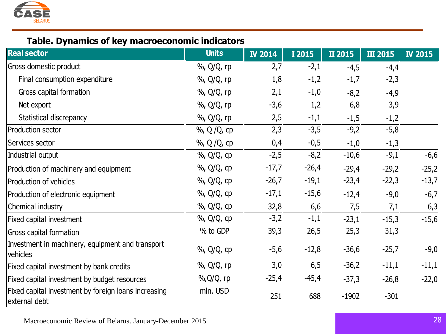

### **Table. Dynamics of key macroeconomic indicators**

| <b>Real sector</b>                                                    | <b>Units</b> | <b>IV 2014</b> | I 2015  | II 2015 | <b>III 2015</b> | <b>IV 2015</b> |
|-----------------------------------------------------------------------|--------------|----------------|---------|---------|-----------------|----------------|
| Gross domestic product                                                | %, Q/Q, rp   | 2,7            | $-2,1$  | $-4,5$  | $-4,4$          |                |
| Final consumption expenditure                                         | %, Q/Q, rp   | 1,8            | $-1,2$  | $-1,7$  | $-2,3$          |                |
| Gross capital formation                                               | %, Q/Q, rp   | 2,1            | $-1,0$  | $-8,2$  | $-4,9$          |                |
| Net export                                                            | %, Q/Q, rp   | $-3,6$         | 1,2     | 6,8     | 3,9             |                |
| Statistical discrepancy                                               | %, Q/Q, rp   | 2,5            | $-1,1$  | $-1,5$  | $-1,2$          |                |
| Production sector                                                     | %, Q / Q, cp | 2,3            | $-3,5$  | $-9,2$  | $-5,8$          |                |
| Services sector                                                       | %, Q / Q, cp | 0,4            | $-0,5$  | $-1,0$  | $-1,3$          |                |
| Industrial output                                                     | %, Q/Q, cp   | $-2,5$         | $-8,2$  | $-10,6$ | $-9,1$          | $-6,6$         |
| Production of machinery and equipment                                 | %, Q/Q, cp   | $-17,7$        | $-26,4$ | $-29,4$ | $-29,2$         | $-25,2$        |
| Production of vehicles                                                | %, Q/Q, cp   | $-26,7$        | $-19,1$ | $-23,4$ | $-22,3$         | $-13,7$        |
| Production of electronic equipment                                    | %, Q/Q, cp   | $-17,1$        | $-15,6$ | $-12,4$ | $-9,0$          | $-6,7$         |
| Chemical industry                                                     | %, Q/Q, cp   | 32,8           | 6,6     | 7,5     | 7,1             | 6,3            |
| Fixed capital investment                                              | %, Q/Q, cp   | $-3,2$         | $-1,1$  | $-23,1$ | $-15,3$         | $-15,6$        |
| Gross capital formation                                               | % to GDP     | 39,3           | 26,5    | 25,3    | 31,3            |                |
| Investment in machinery, equipment and transport<br>vehicles          | %, Q/Q, cp   | -5,6           | $-12,8$ | $-36,6$ | $-25,7$         | $-9,0$         |
| Fixed capital investment by bank credits                              | %, Q/Q, rp   | 3,0            | 6,5     | $-36,2$ | $-11,1$         | $-11,1$        |
| Fixed capital investment by budget resources                          | %,Q/Q, rp    | $-25,4$        | -45,4   | $-37,3$ | $-26,8$         | $-22,0$        |
| Fixed capital investment by foreign loans increasing<br>external debt | mln. USD     | 251            | 688     | $-1902$ | $-301$          |                |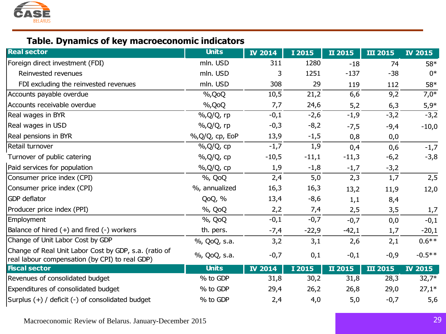

### **Table. Dynamics of key macroeconomic indicators**

| <b>Real sector</b>                                                                                      | <b>Units</b>    | <b>IV 2014</b> | I 2015  | II 2015 | <b>III 2015</b> | <b>IV 2015</b> |
|---------------------------------------------------------------------------------------------------------|-----------------|----------------|---------|---------|-----------------|----------------|
| Foreign direct investment (FDI)                                                                         | mln. USD        | 311            | 1280    | $-18$   | 74              | 58*            |
| Reinvested revenues                                                                                     | mln. USD        | 3              | 1251    | $-137$  | $-38$           | $0*$           |
| FDI excluding the reinvested revenues                                                                   | mln. USD        | 308            | 29      | 119     | 112             | 58*            |
| Accounts payable overdue                                                                                | %, QoQ          | 10,5           | 21,2    | 6,6     | 9,2             | $7,0*$         |
| Accounts receivable overdue                                                                             | %, QoQ          | 7,7            | 24,6    | 5,2     | 6,3             | $5,9*$         |
| Real wages in BYR                                                                                       | %, Q/Q, rp      | $-0,1$         | $-2,6$  | $-1,9$  | $-3,2$          | $-3,2$         |
| Real wages in USD                                                                                       | %, Q/Q, rp      | $-0,3$         | $-8,2$  | $-7,5$  | $-9,4$          | $-10,0$        |
| Real pensions in BYR                                                                                    | %, Q/Q, cp, EoP | 13,9           | $-1,5$  | 0,8     | 0,0             |                |
| Retail turnover                                                                                         | %, Q/Q, cp      | $-1,7$         | 1,9     | 0,4     | 0,6             | $-1,7$         |
| Turnover of public catering                                                                             | %, Q/Q, cp      | $-10,5$        | $-11,1$ | $-11,3$ | $-6,2$          | $-3,8$         |
| Paid services for population                                                                            | %, Q/Q, cp      | 1,9            | $-1,8$  | $-1,7$  | $-3,2$          |                |
| Consumer price index (CPI)                                                                              | %, QoQ          | 2,4            | 5,0     | 2,3     | 1,7             | 2,5            |
| Consumer price index (CPI)                                                                              | %, annualized   | 16,3           | 16,3    | 13,2    | 11,9            | 12,0           |
| GDP deflator                                                                                            | QoQ, %          | 13,4           | $-8,6$  | 1,1     | 8,4             |                |
| Producer price index (PPI)                                                                              | %, QoQ          | 2,2            | 7,4     | 2,5     | 3,5             | 1,7            |
| Employment                                                                                              | %, QoQ          | $-0,1$         | $-0,7$  | $-0,7$  | 0,0             | $-0,1$         |
| Balance of hired $(+)$ and fired $(-)$ workers                                                          | th. pers.       | $-7,4$         | $-22,9$ | $-42,1$ | 1,7             | $-20,1$        |
| Change of Unit Labor Cost by GDP                                                                        | %, QoQ, s.a.    | 3,2            | 3,1     | 2,6     | 2,1             | $0.6**$        |
| Change of Real Unit Labor Cost by GDP, s.a. (ratio of<br>real labour compensation (by CPI) to real GDP) | %, QoQ, s.a.    | $-0,7$         | 0,1     | $-0,1$  | $-0,9$          | $-0.5**$       |
| <b>Fiscal sector</b>                                                                                    | <b>Units</b>    | <b>IV 2014</b> | I 2015  | II 2015 | <b>III 2015</b> | <b>IV 2015</b> |
| Revenues of consolidated budget                                                                         | % to GDP        | 31,8           | 30,2    | 31,8    | 28,3            | $32,7*$        |
| Expenditures of consolidated budget                                                                     | % to GDP        | 29,4           | 26,2    | 26,8    | 29,0            | $27,1*$        |
| Surplus (+) / deficit (-) of consolidated budget                                                        | % to GDP        | 2,4            | 4,0     | $5,0$   | $-0,7$          | 5,6            |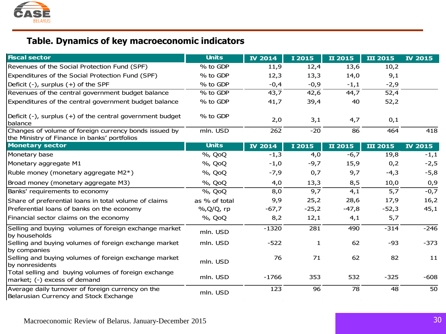

### **Table. Dynamics of key macroeconomic indicators**

| <b>Fiscal sector</b>                                                                                  | <b>Units</b>  | <b>IV 2014</b> | I 2015       | II 2015 | <b>III 2015</b> | <b>IV 2015</b> |
|-------------------------------------------------------------------------------------------------------|---------------|----------------|--------------|---------|-----------------|----------------|
| Revenues of the Social Protection Fund (SPF)                                                          | % to GDP      | 11,9           | 12,4         | 13,6    | 10,2            |                |
| Expenditures of the Social Protection Fund (SPF)                                                      | % to GDP      | 12,3           | 13,3         | 14,0    | 9,1             |                |
| Deficit (-), surplus (+) of the SPF                                                                   | % to GDP      | $-0,4$         | $-0,9$       | $-1,1$  | $-2,9$          |                |
| Revenues of the central government budget balance                                                     | % to GDP      | 43,7           | 42,6         | 44,7    | 52,4            |                |
| Expenditures of the central government budget balance                                                 | % to GDP      | 41,7           | 39,4         | 40      | 52,2            |                |
| Deficit $(-)$ , surplus $(+)$ of the central government budget<br>balance                             | % to GDP      | 2,0            | 3,1          | 4,7     | 0,1             |                |
| Changes of volume of foreign currency bonds issued by<br>the Ministry of Finance in banks' portfolios | mln. USD      | 262            | $-20$        | 86      | 464             | 418            |
| <b>Monetary sector</b>                                                                                | <b>Units</b>  | <b>IV 2014</b> | I 2015       | II 2015 | <b>III 2015</b> | <b>IV 2015</b> |
| Monetary base                                                                                         | %, QoQ        | $-1,3$         | 4,0          | $-6,7$  | 19,8            | $-1,1$         |
| Monetary aggregate M1                                                                                 | %, QoQ        | $-1,0$         | $-9,7$       | 15,9    | 0,2             | $-2,5$         |
| Ruble money (monetary aggregate M2*)                                                                  | %, QoQ        | $-7,9$         | 0,7          | 9,7     | $-4,3$          | $-5,8$         |
| Broad money (monetary aggregate M3)                                                                   | %, QoQ        | 4,0            | 13,3         | 8,5     | 10,0            | 0,9            |
| Banks' requirements to economy                                                                        | %, QoQ        | 8,0            | 9,7          | 4,1     | 5,7             | $-0,7$         |
| Share of preferential loans in total volume of claims                                                 | as % of total | 9,9            | 25,2         | 28,6    | 17,9            | 16,2           |
| Preferential loans of banks on the economy                                                            | %, Q/Q, rp    | $-67,7$        | $-25,2$      | $-47,8$ | $-52,3$         | 45,1           |
| Financial sector claims on the economy                                                                | %, QoQ        | 8,2            | 12,1         | 4,1     | 5,7             |                |
| Selling and buying volumes of foreign exchange market<br>by households                                | mln. USD      | $-1320$        | 281          | 490     | $-314$          | $-246$         |
| Selling and buying volumes of foreign exchange market<br>by companies                                 | mln. USD      | $-522$         | $\mathbf{1}$ | 62      | $-93$           | $-373$         |
| Selling and buying volumes of foreign exchange market<br>by nonresidents                              | mln. USD      | 76             | 71           | 62      | 82              | 11             |
| Total selling and buying volumes of foreign exchange<br>market; (-) excess of demand                  | mln. USD      | $-1766$        | 353          | 532     | $-325$          | $-608$         |
| Average daily turnover of foreign currency on the<br>Belarusian Currency and Stock Exchange           | mln. USD      | 123            | 96           | 78      | 48              | 50             |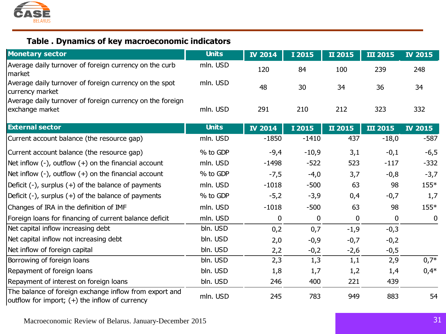

### **Table . Dynamics of key macroeconomic indicators**

| <b>Monetary sector</b>                                                                                     | <b>Units</b> | <b>IV 2014</b> | I 2015  | II 2015  | <b>III 2015</b> | <b>IV 2015</b>   |
|------------------------------------------------------------------------------------------------------------|--------------|----------------|---------|----------|-----------------|------------------|
| Average daily turnover of foreign currency on the curb<br>market                                           | mln. USD     | 120            | 84      | 100      | 239             | 248              |
| Average daily turnover of foreign currency on the spot<br>currency market                                  | mln. USD     | 48             | 30      | 34       | 36              | 34               |
| Average daily turnover of foreign currency on the foreign<br>exchange market                               | mln. USD     | 291            | 210     | 212      | 323             | 332              |
| <b>External sector</b>                                                                                     | <b>Units</b> | <b>IV 2014</b> | I 2015  | II 2015  | <b>III 2015</b> | <b>IV 2015</b>   |
| Current account balance (the resource gap)                                                                 | mln. USD     | $-1850$        | $-1410$ | 437      | $-18,0$         | $-587$           |
| Current account balance (the resource gap)                                                                 | % to GDP     | $-9,4$         | $-10,9$ | 3,1      | $-0,1$          | $-6,5$           |
| Net inflow $(-)$ , outflow $(+)$ on the financial account                                                  | mln. USD     | $-1498$        | $-522$  | 523      | $-117$          | $-332$           |
| Net inflow $(-)$ , outflow $(+)$ on the financial account                                                  | % to GDP     | $-7,5$         | $-4,0$  | 3,7      | $-0,8$          | $-3,7$           |
| Deficit $(-)$ , surplus $(+)$ of the balance of payments                                                   | mln. USD     | $-1018$        | $-500$  | 63       | 98              | 155*             |
| Deficit $(-)$ , surplus $(+)$ of the balance of payments                                                   | % to GDP     | $-5,2$         | $-3,9$  | 0,4      | $-0,7$          | 1,7              |
| Changes of IRA in the definition of IMF                                                                    | mln. USD     | $-1018$        | $-500$  | 63       | 98              | 155*             |
| Foreign loans for financing of current balance deficit                                                     | mln. USD     | 0              | 0       | $\bf{0}$ | $\bf{0}$        | $\boldsymbol{0}$ |
| Net capital inflow increasing debt                                                                         | bln. USD     | 0,2            | 0,7     | $-1,9$   | $-0,3$          |                  |
| Net capital inflow not increasing debt                                                                     | bln. USD     | 2,0            | $-0,9$  | $-0,7$   | $-0,2$          |                  |
| Net inflow of foreign capital                                                                              | bln. USD     | 2,2            | $-0,2$  | $-2,6$   | $-0,5$          |                  |
| Borrowing of foreign loans                                                                                 | bln. USD     | 2,3            | 1,3     | 1,1      | 2,9             | $0,7*$           |
| Repayment of foreign loans                                                                                 | bln. USD     | 1,8            | 1,7     | 1,2      | 1,4             | $0,4*$           |
| Repayment of interest on foreign loans                                                                     | bln. USD     | 246            | 400     | 221      | 439             |                  |
| The balance of foreign exchange inflow from export and<br>outflow for import; $(+)$ the inflow of currency | mln. USD     | 245            | 783     | 949      | 883             | 54               |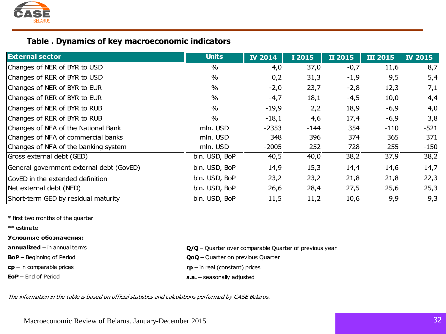

### **Table . Dynamics of key macroeconomic indicators**

| <b>External sector</b>                   | <b>Units</b>  | <b>IV 2014</b> | I 2015 | II 2015 | <b>III 2015</b> | <b>IV 2015</b> |
|------------------------------------------|---------------|----------------|--------|---------|-----------------|----------------|
| Changes of NER of BYR to USD             | $\%$          | 4,0            | 37,0   | $-0,7$  | 11,6            | 8,7            |
| Changes of RER of BYR to USD             | $\%$          | 0,2            | 31,3   | $-1,9$  | 9,5             | 5,4            |
| Changes of NER of BYR to EUR             | $\%$          | $-2,0$         | 23,7   | $-2,8$  | 12,3            | 7,1            |
| Changes of RER of BYR to EUR             | $\%$          | $-4,7$         | 18,1   | $-4,5$  | 10,0            | 4,4            |
| Changes of NER of BYR to RUB             | $\%$          | $-19,9$        | 2,2    | 18,9    | $-6,9$          | 4,0            |
| Changes of RER of BYR to RUB             | $\%$          | $-18,1$        | 4,6    | 17,4    | $-6,9$          | 3,8            |
| Changes of NFA of the National Bank      | mln. USD      | $-2353$        | $-144$ | 354     | $-110$          | $-521$         |
| Changes of NFA of commercial banks       | mln. USD      | 348            | 396    | 374     | 365             | 371            |
| Changes of NFA of the banking system     | mln. USD      | $-2005$        | 252    | 728     | 255             | $-150$         |
| Gross external debt (GED)                | bln. USD, BoP | 40,5           | 40,0   | 38,2    | 37,9            | 38,2           |
| General government external debt (GovED) | bln. USD, BoP | 14,9           | 15,3   | 14,4    | 14,6            | 14,7           |
| GovED in the extended definition         | bln. USD, BoP | 23,2           | 23,2   | 21,8    | 21,8            | 22,3           |
| Net external debt (NED)                  | bln. USD, BoP | 26,6           | 28,4   | 27,5    | 25,6            | 25,3           |
| Short-term GED by residual maturity      | bln. USD, BoP | 11,5           | 11,2   | 10,6    | 9,9             | 9,3            |

\* first two months of the quarter

\*\* estimate

### **Условные обозначения:**

**BoP** – Beginning of Period **QoQ** – Quarter on previous Quarter

**cp** – in comparable prices

**EoP** – End of Period

- **annualized** in annual terms **C/Q** Quarter over comparable Quarter of previous year
	-
	- **rp**  in real (constant) prices
	- **s.a.**  seasonally adjusted

The information in the table is based on official statistics and calculations performed by CASE Belarus.